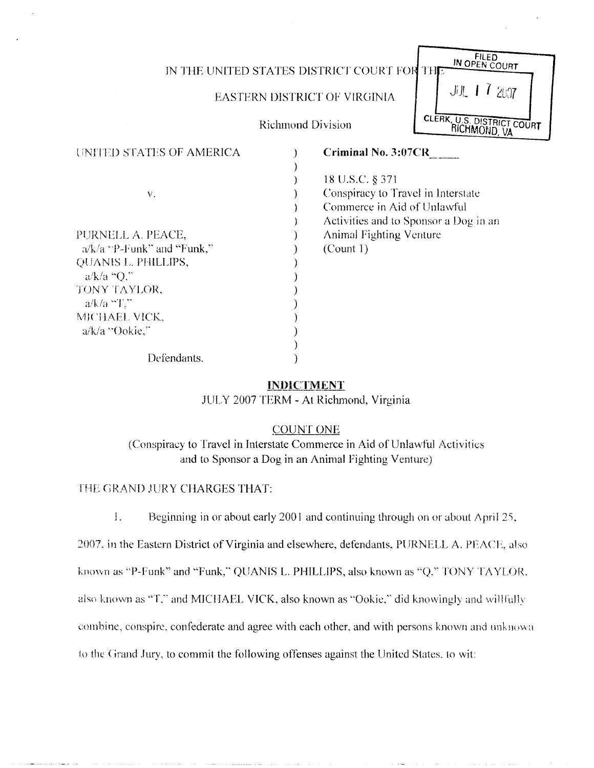#### IN THE UNITED STATES DISTRICT COURT FOR THE

#### EASTERN DISTRICT OF VIRGINIA

IN OPEN COURT

近十 1 207

CLERK, U.S. DISTRICT COURT RICHMOND, VA

Richmond Division

| UNITED STATES OF AMERICA          | <b>Criminal No. 3:07CR</b>            |
|-----------------------------------|---------------------------------------|
|                                   |                                       |
|                                   | 18 U.S.C. § 371                       |
| ${\bf V}$ .                       | Conspiracy to Travel in Interstate    |
|                                   | Commerce in Aid of Unlawful           |
|                                   | Activities and to Sponsor a Dog in an |
| PURNELL A. PEACE,                 | <b>Animal Fighting Venture</b>        |
| $\alpha/k/a$ "P-Funk" and "Funk," | (Count 1)                             |
| QUANIS L. PHILLIPS,               |                                       |
| $a/k/a$ "Q."                      |                                       |
| TONY TAYLOR,                      |                                       |
| $a/k/a$ $T$ ."                    |                                       |
| MICHAEL VICK,                     |                                       |
| a/k/a "Ookie,"                    |                                       |
|                                   |                                       |
| Defendants.                       |                                       |

#### INDICTMENT

JULY 2007 TERM - At Richmond, Virginia

#### COUNT ONE

(Conspiracy to Travel in Interstate Commerce in Aid of Unlawful Activities and to Sponsor a Dog in an Animal Fighting Venture)

THE GRAND JURY CHARGES THAT:

 

 

 $\mathbf{I}$ . Beginning in or about early 2001 and continuing through on or about April 25,

2007, in the Eastern District of Virginia and elsewhere, defendants, PURNELL A. PEACE, also

known as "P-Funk" and "Funk," QUANIS L. PHILLIPS, also known as "Q," TONY TAYLOR.

also known as "T," and MICHAEL VICK, also known as "Ookie," did knowingly and willfully

combine, conspire, confederate and agree with each other, and with persons known and unknown

to the Grand Jury, to commit the following offenses against the United States, to wit: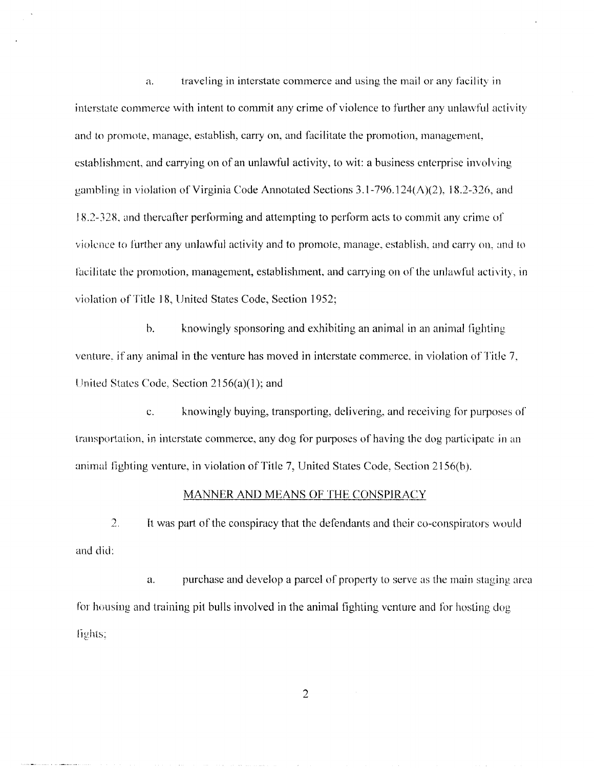a. traveling in interstate commerce and using the mail or any facility in interstate commerce with intent to commit any crime of violence to further any unlawful activity and to promote, manage, establish, carry on, and facilitate the promotion, management, establishment, and carrying on of an unlawful activity, to wit : a business enterprise involving gambling in violation of Virginia Code Annotated Sections 3 .1-796 .124(A)(2) . 18 .2-326, and 18.2-328, and thereafter performing and attempting to perform acts to commit any crime of violence to further any unlawful activity and to promote, manage, establish, and carry on, and to facilitate the promotion, management, establishment, and carrying on of the unlawful activity, in violation of Title 18, United States Code, Section 1952;

> b. knowingly sponsoring and exhibiting an animal in an animal fighting venture, if any animal in the venture has moved in interstate commerce, in violation of Title 7. United States Code, Section 2156(a)(1) ; and

knowingly buying, transporting, delivering, and receiving for purposes of  $\mathbf{c}$ . transportation, in interstate commerce, any dog for purposes of having the dog participate in an animal fighting venture, in violation of Title 7, United States Code, Section 2156(h) .

#### MANNER AND MEANS OF THE CONSPIRACY

 $2.$ It was part of the conspiracy that the defendants and their co-conspirators would and did:

a. purchase and develop a parcel of property to serve as the main staging area for hosing and training pit bulls involved in the animal fighting venture and for hosting dog lights;

 $\overline{2}$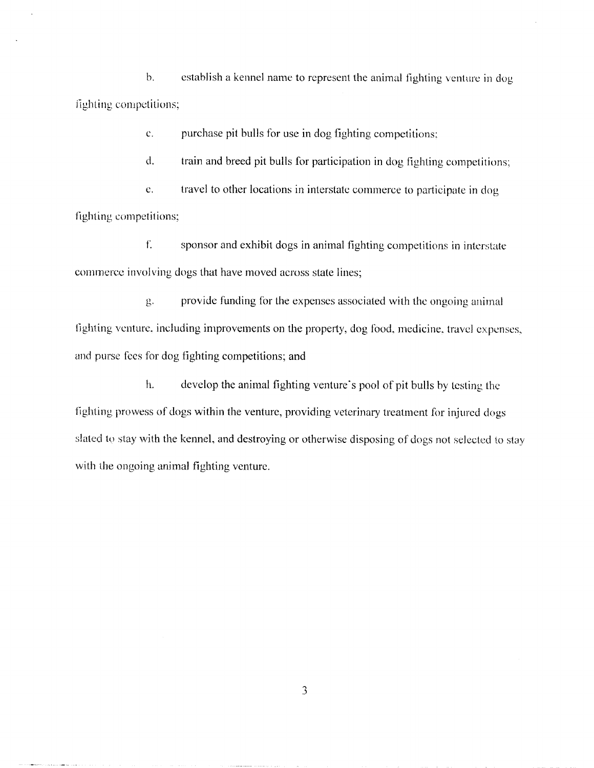$<sub>b</sub>$ .</sub> establish a kennel name to represent the animal fighting venture in dog fighting competitions;

> c. purchase pit bulls for use in dog fighting competitions;

d. train and breed pit bulls for participation in dog fighting competitions,

e. travel to other locations in interstate commerce to participate in dog fighting competitions;

f. sponsor and exhibit dogs in animal fighting competitions in interstate commerce involving dogs that have moved across state lines;

provide funding for the expenses associated with the ongoing animal g. fighting venture, including improvements on the property, dog food, medicine, travel expenses, and purse fees for dog fighting competitions; and

h. develop the animal fighting venture's pool of pit bulls by testing the fighting prowess of dogs within the venture, providing veterinary treatment for injured dogs slated to stay with the kennel, and destroying or otherwise disposing of dogs not selected to stay with the ongoing animal fighting venture.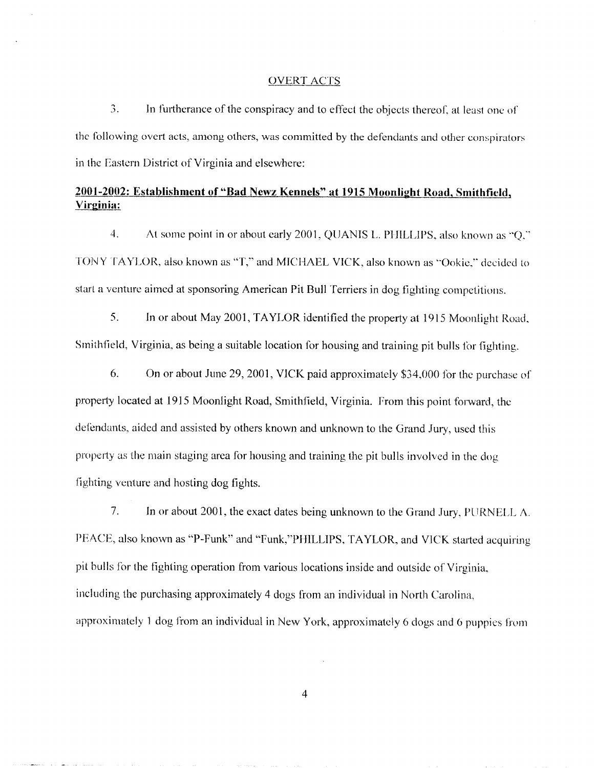#### OVERT ACTS

 

3 . In furtherance of the conspiracy and to effect the objects thereof, at least one of the following overt acts, among others, was committed by the defendants and other conspirators in the Eastern District of Virginia and elsewhere:

#### 2001-2002: Establishment of "Bad Newz Kennels" at 1915 Moonlight Road, Smithfield, Virginia:

 $\overline{4}$ . At some point in or about early 2001, QUANIS L. PHILLIPS, also known as "Q." TONY TAYLOR, also known as "T," and MICHAEL VICK, also known as "Ookic," decided to start a venture aimed at sponsoring American Pit Bull Terriers in dog fighting competitions .

5 . In or about May 2001, TAYLOR. identified the property at 1915 Moonlight Road, Smithfield, Virginia, as being a suitable location for housing and training pit bulls for fighting .

6. On or about June 29, 2001, VICK paid approximately \$34,000 for the purchase of property located at 1915 Moonlight Road, Smithfield, Virginia . From this point forward, the defendants, aided and assisted by others known and unknown to the Grand Jury, used this property as the main staging area for housing and training the pit bulls involved in the dog fighting venture and hosting dog fights.

7. In or about 2001, the exact dates being unknown to the Grand Jury. PURNELL A. PEACE, also known as "P-Funk" and "Funk,"PHILLIPS, TAYLOR, and VICK started acquiring pit bulls for the fighting operation from various locations inside and outside of Virginia, including the purchasing approximately 4 dogs from an individual in North Carolina, approximately 1 dog from an individual in New York, approximately 6 clogs and 6 puppies from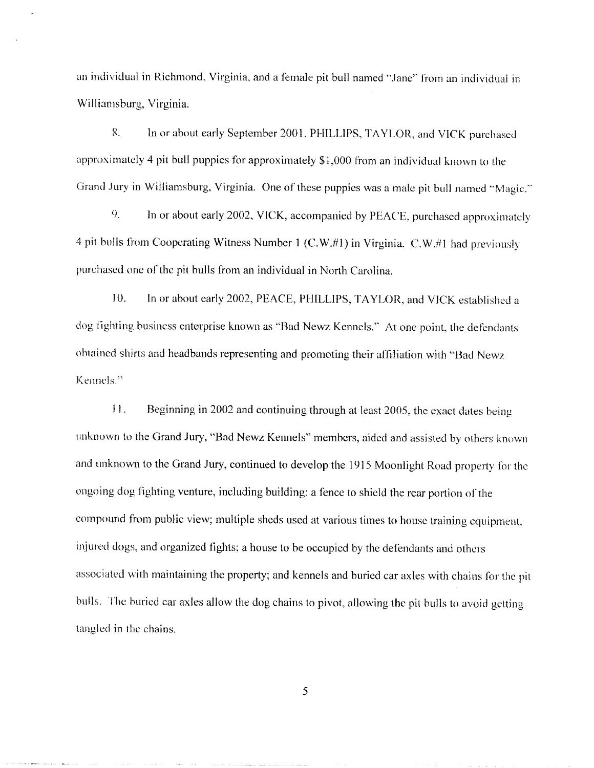an individual in Richmond, Virginia, and a female pit bull named "Jane" from an individual in Williamsburg, Virginia.

 

u. In or about early September 2001, PHILLIPS, TAYLOR, and VICK purchased approximately 4 pit bull puppies for approximately \$1,000 from an individual known to the Grand Jury in Williamsburg, Virginia. One of these puppies was a male pit bull named "Magic."

In or about early 2002, VICK, accompanied by PEACE, purchased approximately 4 pit bulls from Cooperating Witness Number 1 (C.W.#1) in Virginia. C.W.#1 had previously purchased one of the pit bulls from an individual in North Carolina. In individual in Richmond, Virginia, and a female pit bull named "Jane" from an individual in Williamsburg, Virginia.<br>
8. In or about early September 2001. PHILLIPS, TAYLOR, and VICK purchased approximately 4 pit bull pup

10. dog fighting business enterprise known as "Bad Newz Kennels." At one point, the defendants obtained shirts and headbands representing and promoting their affiliation with "Bad Newz Kennels." an individual in Richmond, Virginia, and a femule pit bull named "Jane" from an individual Williamsburg, Virginia.<br>
8. In or about early September 2001, PHILLIPS, TAYLOR, and VICK purchases<br>
approximately 4 pit bull purpi

11 . unknown to the Grand Jury, "Bad Newz Kennels" members, aided and assisted by others known and unknown to the Grand Jury, continued to develop the 1915 Moonlight Road property for the ongoing dog fighting venture, including building : a fence to shield the rear portion of the compound from public view; multiple sheds used at various times to house training equipment, injured dogs, and organized fights; a house to be occupied by the defendants and others associated with maintaining the property; and kennels and buried car axles with chains for the pit bulls. The buried car axles allow the dog chains to pivot, allowing the pit bulls to avoid getting tangled in the chains.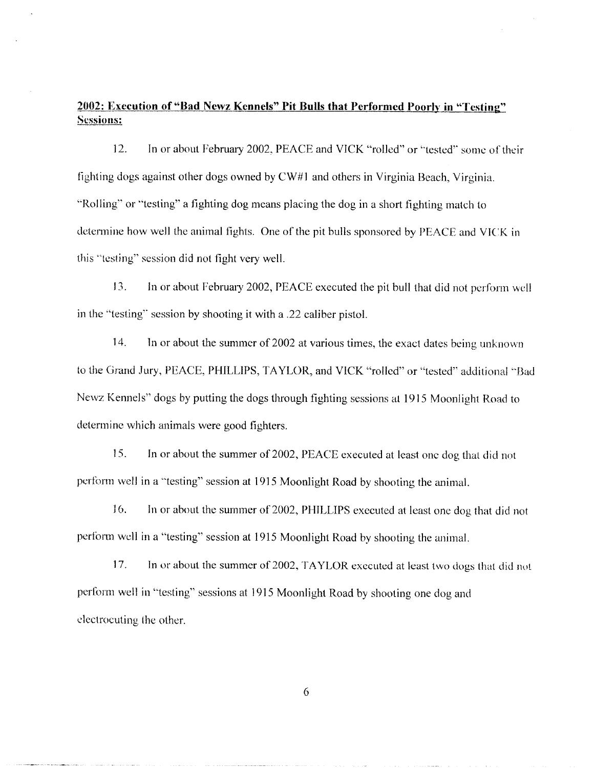#### 2002: Execution of "Bad Newz Kennels" Pit Bulls that Performed Poorly in "Testing" Sessions:

 

12. In or about February 2002, PEACE and VICK "rolled" or "tested" some of their fighting dogs against other dogs owned by  $CW#1$  and others in Virginia Beach, Virginia. "Rolling" or "testing" a fighting dog means placing the dog in a short fighting match to determine how well the animal fights. One of the pit bulls sponsored by PEACE and VICK in this "testing" session did not fight very well. 2002: Execution of "Bad Newz Kennels" Pit Bulls that Performed Poorly in "Testing"<br>Sessions:<br>12. In or about February 2002, PEACE and VICK "rolled" or "tested" some of their<br>fighting dogs against other dogs owned by CW#1 a

13 . in the "testing" session by shooting it with a .22 caliber pistol.

14 . In or about the summer of 2002 at various times, the exact dates being unknown to the Grand Jury, PEACE, PHILLIPS, TAYLOR, and VICK "rolled" or "tested" additional "Bad Newz Kennels" dogs by putting the dogs through fighting sessions at 1915 Moonlight Road to determine which animals were good fighters.

15. In or about the summer of 2002, PEACE executed at least one dog that did not perform well in a "testing" session at 1915 Moonlight Road by shooting the animal .

16. In or about the summer of 2002, PHILLIPS executed at least one dog that did not perform well in a "testing" session at 1915 Moonlight Road by shooting the animal,

17. In or about the summer of 2002, TAYLOR executed at least two dogs that did not perform well in "testing" sessions at 1915 Moonlight Road by shooting one dog and electrocuting the other.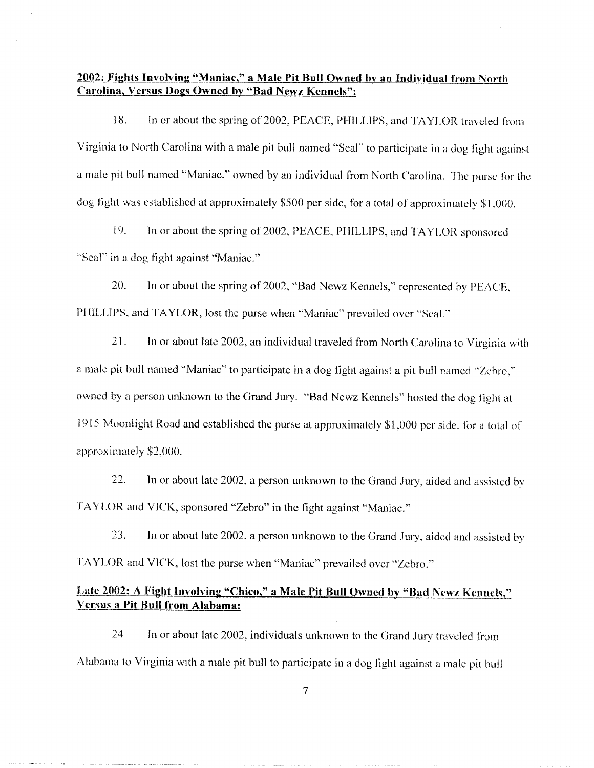# 200Z. Fights Involving "Maniac," a Male Pit Bull Owned by an Individual from North Carolina, Versus Dogs Owned by "Bad Newz Kennels" :

18. In or about the spring of 2002, PEACE, PHILLIPS, and TAYLOR traveled from Virginia to North Carolina with a male pit bull named "Seal" to participate in a dog light against a male pit bull named "Maniac," owned by an individual from North Carolina. The purse for the dog fight was established at approximately \$500 per side, for a total of approximately \$1,000.

19, In or about the spring of 2002, PEACE, PHILLIPS, and TAYLOR sponsored "Seal" in a dog fight against "Maniac."

20. In or about the spring of 2002, "Bad Newz Kennels," represented by PEACE, PHILLIPS, and TAYLOR, lost the purse when "Maniac" prevailed over "Seal."

21, In or about late 2002, an individual traveled from North Carolina to Virginia with a male pit bull named "Maniac" to participate in a dog fight against a pit bull named "Zebra," owned by a person unknown to the Grand Jury. "Bad Newz Kennels" hosted the dog fight at 1915 Moonlight Road and established the purse at approximately \$1,000 per side, for a total of approximately 2,000.

22. In or about late 2002, a person unknown to the Grand Jury, aided and assisted by TAYLOR and VICK, sponsored "Zebro" in the fight against "Maniac."

23. In or about late 2002, a person unknown to the Grand Jury, aided and assisted by TAYLOR and VICK., lost the purse when "Maniac" prevailed over "Zebro ."

# Late 2002: A Fight Involving "Chico," a Male Pit Bull Owned by "Bad Newz Kennels," Versus a Pit Bull from Alabama:

24. In or about late 2002, individuals unknown to the Grand Jury traveled from Alabama to Virginia with a male pit bull to participate in a dog fight against a male pit hull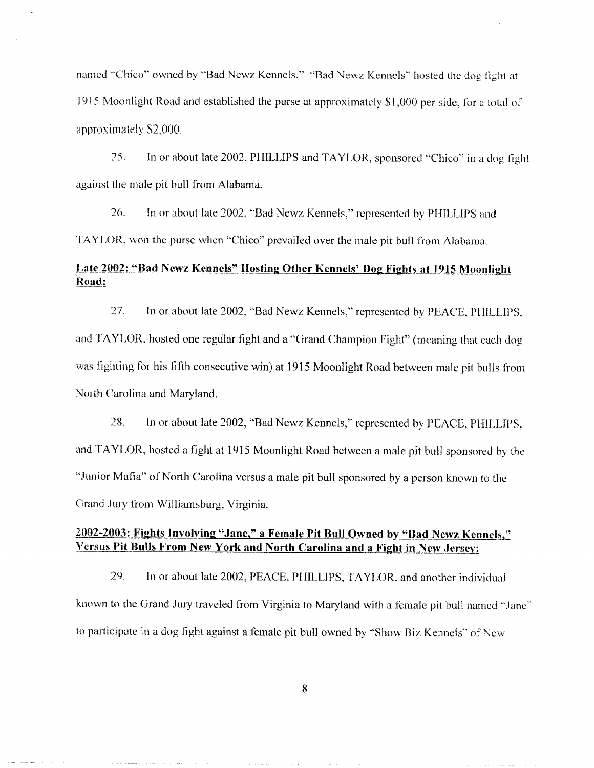named "Chico" owned by "Bad Newz Kennels." "Bad Newz Kennels" hosted the dog fight at 1915 Moonlight Road and established the purse at approximately 1,000 per side, for a total of approximately 2,000. 

> 25. In or about late 2002, PHILLIPS and TAYLOR, sponsored "Chico" in a dog fight against the male pit bull from Alabama.

26. In or about late 2002, "Bad Newz Kennels," represented by PHILLIPS and TAYLOR, won the purse when "Chico" prevailed over the male pit bull from Alabama .

## Late 2002: "Bad Newz Kennels" Hosting Other Kennels' Dog Fights at 1915 Moonlight Road:

27. In or about late 2002, "Bad Newz Kennels," represented by PEACE, PHILLIPS, and TAYLOR, hosted one regular fight and a "Grand Champion Fight" (meaning that each dog was fighting for his fifth consecutive win) at 1915 Moonlight Road between male pit bulls from North Carolina and Maryland.

28. In or about late 2002, "Bad Newz Kennels," represented by PEACE, PHILLIPS, and TAYLOR, hosted a fight at 1915 Moonlight Road between a male pit bull sponsored by the "Junior Mafia" of North Carolina versus a male pit bull sponsored by a person known to the Grand Jury from Williamsburg, Virginia.

### 2002-2003: Fights Involving "Jane," a Female Pit Bull Owned by "Bad Newz Kennels," Versus Pit Bulls From New York and North Carolina and a Fight in New Jersey:

29. In or about late 2002, PEACE, PHILLIPS, TAYLOR, and another individual known to the Grand Jury traveled from Virginia to Maryland with a female pit bull named "Jane" to participate in a dog fight against a female pit bull owned by "Show Biz Kennels" of New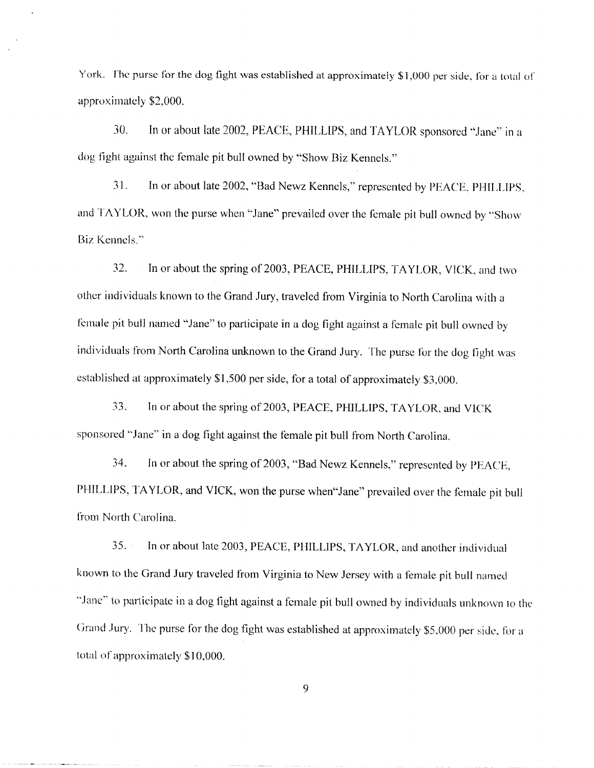York. The purse for the dog fight was established at approximately \$1,000 per side, for a total of approximately \$2,000. 

> 30. In or about late 2002, PEACE, PHILLIPS, and TAYLOR sponsored "Jane" in a dog fight against the female pit bull owned by "Show Biz Kennels."

> 31. In or about late 2002, "Bad Newz Kennels," represented by PEACE, PHILLIPS, and TAYLOR, won the purse when "Jane" prevailed over the female pit bull owned by "Show Biz Kennels ."

32. In or about the spring of 2003, PEACE, PHILLIPS, TAYLOR, VICK, and two other individuals known to the Grand Jury, traveled from Virginia to North Carolina with a female pit bull named "Jane" to participate in a dog fight against a female pit bull owned by individuals from North Carolina unknown to the Grand Jury. The purse for the dog fight was established at approximately \$1,500 per side, for a total of approximately \$3,000. Sork. The parse for the dog fight was established at approximately \$1,000 per side. for approximately \$2,000.<br>
30. In or about late 2002, PEACE, PHILLIPS, and TAYLOR sponsored "Jan<br>
dog fight against the female pit bull ow

33 . sponsored "Jane" in a dog fight against the female pit bull from North Carolina.

34. In or about the spring of 2003, "Bad Newz Kennels," represented by PEACE, PHILLIPS, TAYLOR, and VICK, won the purse when"Jane" prevailed over the female pit bull from North Carolina.

35 . In or about late 2003, PEACE, PHILLIPS, TAYLOR, and another individual known to the Grand Jury traveled from Virginia to New Jersey with a female pit bull named "Jane" to participate in a dog fight against a female pit bull owned by individuals unknown to the Grand Jury. The purse for the dog fight was established at approximately \$5,000 per side, for a total of approximately \$10,000.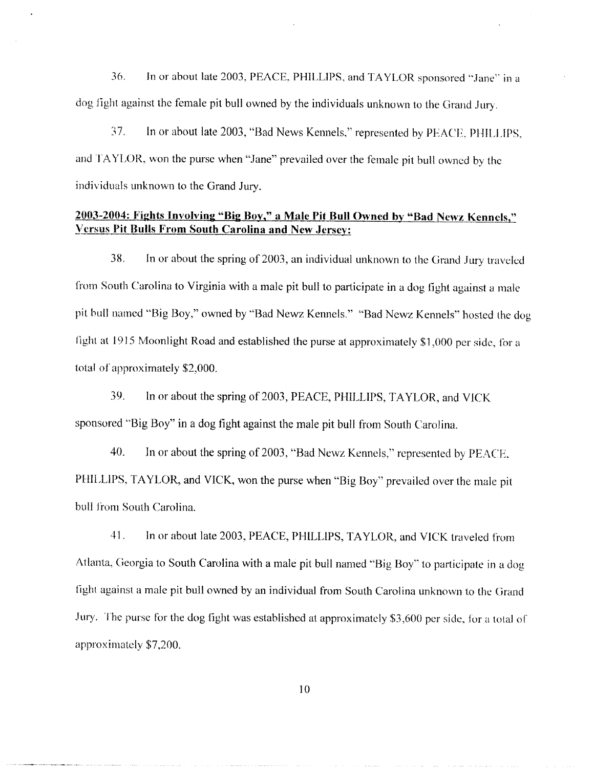36. In or about late 2003, PEACE, PHILLIPS, and TAYLOR sponsored "Jane" in a dog fight against the female pit bull owned by the individuals unknown to the Grand Jury.

37 . In or about late 2003, "Bad News Kennels," represented by PEACE, PHILLIPS, and TAYLOR, won the purse when "Jane" prevailed over the female pit bull owned by the individuals unknown to the Grand Jury. 36. In or about late 2003, PEACE, PHILLIPS, and TAYLOR sponsored "Jane" in a<br>dog fight against the female pit bull owned by the individuals unknown to the Grand Jury.<br>37. In or about late 2003, "Bad News Kennels," represen

#### 2003-2004: Fights Involving "Big Boy," a Male Pit Bull Owned by "Bad Newz Kennels," Versus. Pit Bulls From South Carolina and New Jersey :

38. from South Carolina to Virginia with a male pit bull to participate in a dog fight against a male pit bull named "Big Boy," owned by "Bad Newz Kennels." "Bad Newz Kennels" hosted the dog fight at  $1915$  Moonlight Road and established the purse at approximately \$1,000 per side, for a total of approximately \$2,000.

39. In or about the spring of 2003, PEACE, PHILLIPS, TAYLOR, and VICK sponsored "Big Boy" in a dog fight against the male pit bull from South Carolina.

40. In or about the spring of 2003, "Bad Newz Kennels," represented by PEACE. PHILLIPS, TAYLOR, and VICK, won the purse when "Big Boy" prevailed over the male pit bull from South Carolina.

41 . In or about late 2003, PEACE, PHILLIPS, TAYLOR, and VICK traveled from Atlanta, Georgia to South Carolina with a male pit bull named "Big Boy" to participate in a dog fight against a male pit bull owned by an individual from South Carolina unknown to the Grand Jury. The purse for the dog fight was established at approximately 3,600 per side, 10r a total of approximately \$7,200.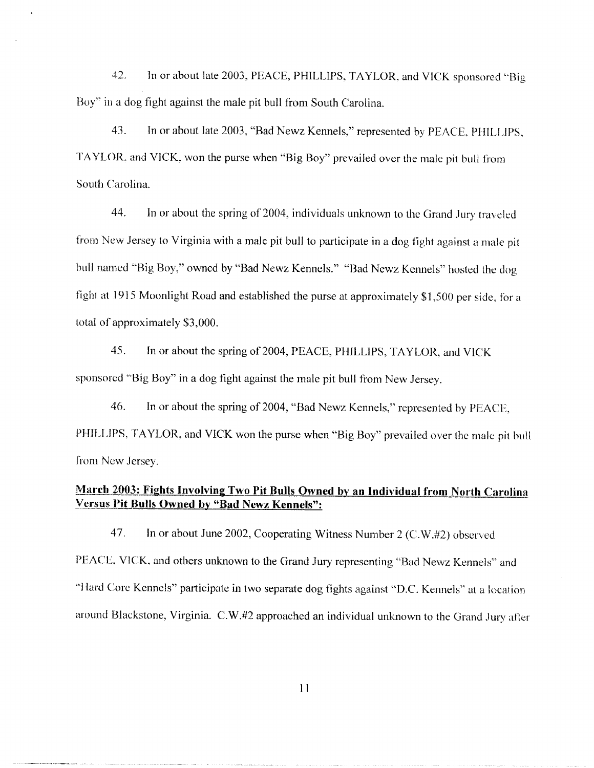42 . In or about late 2003, PEACE, PHILLIPS, TAYLOR, and VICK sponsored "Big Boy" in a dog fight against the male pit bull from South Carolina.

> 43 . In or about late 2003, "Bad Newz Kennels," represented by PEACE, PHILLIPS, TAYLOR. and VICK, won the purse when "Big Boy" prevailed over the male pit bull from South Carolina.

44. In or about the spring of 2004, individuals unknown to the Grand Jury traveled from New Jersey to Virginia with a male pit bull to participate in a dog fight against a male pit bull named "Big Boy," owned by "Bad Newz Kennels." "Bad Newz Kennels" hosted the dog fight at 1915 Moonlight Road and established the purse at approximately \$1,500 per side, for a total of approximately 3,000. 42. In or about late 2003, PEACE, PHILLIPS, TAYLOR, and VICK sponsor<br>Boy" in a dog fight against the male pit bull from South Carolina.<br>43. In or about late 2003, "Bad Newz Kennels," represented by PEACE, PHI<br>TAYLOR, and V

45. sponsored "Big Boy" in a dog fight against the male pit bull from New Jersey.

46. In or about the spring of 2004, "Bad Newz Kennels," represented by PEACE, PHILLIPS, TAYLOR, and VICK won the purse when "Big Boy" prevailed over the male pit bull from New Jersey.

# March 2003: Fights Involving Two Pit Bulls Owned by an Individual from North Carolina Versus Pit Bulls Owned by "Bad Newz Kennels":

47 . In or about June 2002, Cooperating Witness Number 2 (C.W.#2) observed PEACE, VICK, and others unknown to the Grand Jury representing "Bad Newz Kennels" and "Hard Core Kennels" participate in two separate dog fights against "D.C. Kennels" at a location around Blackstone, Virginia. C.W.#2 approached an individual unknown to the Grand Jury after

lI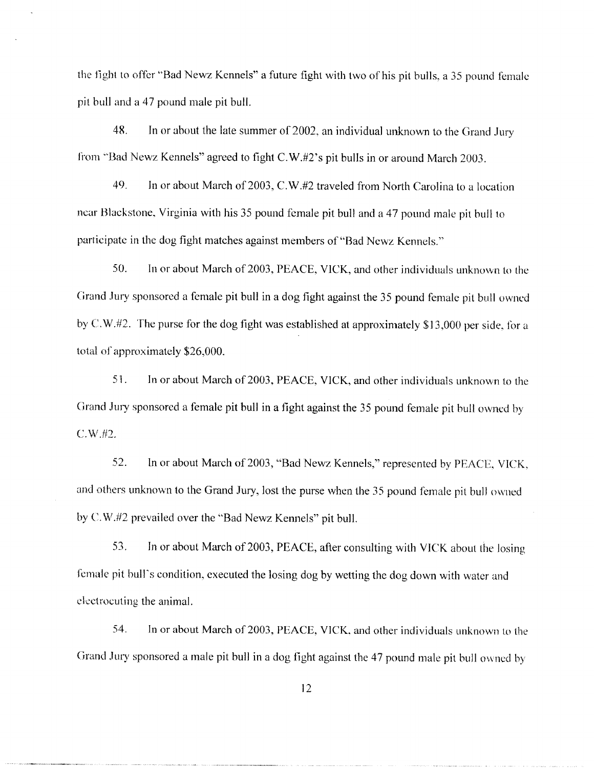the fight to offer "Bad Newz Kennels" a future fight with two of his pit bulls, a 35 pound female pit bull and a 47 pound male pit bull. 

> 48 . In or about the late summer of 2002, an individual unknown to the Grand Jury from "Bad Newz Kennels" agreed to fight C.W.#2's pit bulls in or around March 2003.

> 49. In or about March of 2003, C.W.#2 traveled from North Carolina to a location near Blackstone, Virginia with his 35 pound female pit bull and a 47 pound male pit bull to participate in the dog fight matches against members of "Bad Newz Kennels."

50. In or about March of 2003, PEACE, VICK, and other individuals unknown to the Grand Jury sponsored a female pit bull in a dog fight against the 35 pound female pit bull owned by C.W.#2. The purse for the dog fight was established at approximately  $$13,000$  per side, for a total of approximately \$26,000. In order The Hight of Society and March of 2003, PEACE, VICK, and other individuals unknown to the Science of 2003, Pin about the late summer of 2002, an individual unknown to the Grand Jury from "Bad Newz Kennels" ugreed

51 . Grand Jury sponsored a female pit bull in a fight against the 35 pound female pit bull owned by  $C.W. #2.$ 

52 . In or about March of 2003, "Bad Newz Kennels," represented by PEACE, VICK, and others unknown to the Grand Jury, lost the purse when the 35 pound female pit bull owned by C.W.#2 prevailed over the "Bad Newz Kennels" pit bull.

53 . In or about March of 2003, PEACE, after consulting with VICK about the losing female pit bull's condition, executed the losing dog by wetting the dog down with water and electrocuting the animal.

54. In or about March of 2003, PEACE, VICK, and other individuals unknown to the Grand Jury sponsored a male pit hull in a dog fight against the 47 pound male pit bull owned by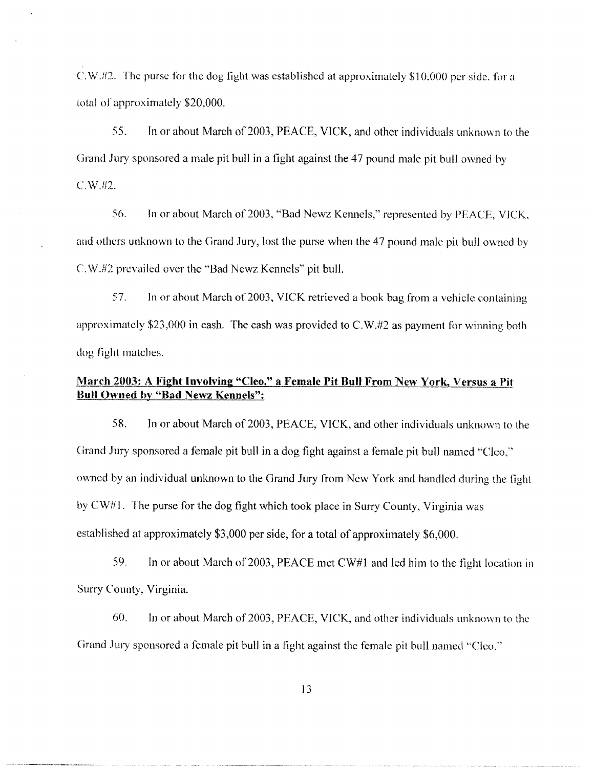C.W.#2. The purse for the dog fight was established at approximately \$10,000 per side, for a total of approximately \$20,000. 

> 55 . 1n or about March of 2003, PEACE, VICK, and other individuals unknown to the Grand Jury sponsored a male pit bull in a fight against the 47 pound male pit bull owned by  $C.W. #2.$

> 56 . In or about March of 2003, "Bad Newz Kenels," represented by PEACE, VICK, and others unknown to the Grand Jury, lost the purse when the 47 pound male pit bull owned by C.W.#2 prevailed over the "Bad Newz Kennels" pit bull.

> 57 . In or about March of 2003, VICK retrieved a book bag from a vehicle containing approximately \$23,000 in cash. The cash was provided to  $C.W. #2$  as payment for winning both dog fight matches.

# March 2003: A Fight Involving "Cleo," a Female Pit Bull From New York, Versus a Pit Bull Owned by "Bad Newz Kennels":

58 . In or about March of 2003, PEACE, VICK, and other individuals unknown to the Grand Jury sponsored a female pit bull in a dog fight against a female pit bull named "Cleo," owned by an individual unknown to the Grand Jury from New York and handled during the Fight by  $CW#1$ . The purse for the dog fight which took place in Surry County, Virginia was established at approximately \$3,000 per side, for a total of approximately \$6,000. C.W. 82. The purse for the dog fight was established at approximately \$10,000 per side, for a<br>botal of approximately \$20,000,<br>S. In or about March of 2003, PEACE, VICK, and other individuals unknown to the<br>Grand Jury spar

59. Surry County. Virginia.

60. In or about March of 2003, PEACE, VICK, and other individuals unknown to the Grand Jury sponsored a female pit bull in a fight against the female pit bull named "Cleo."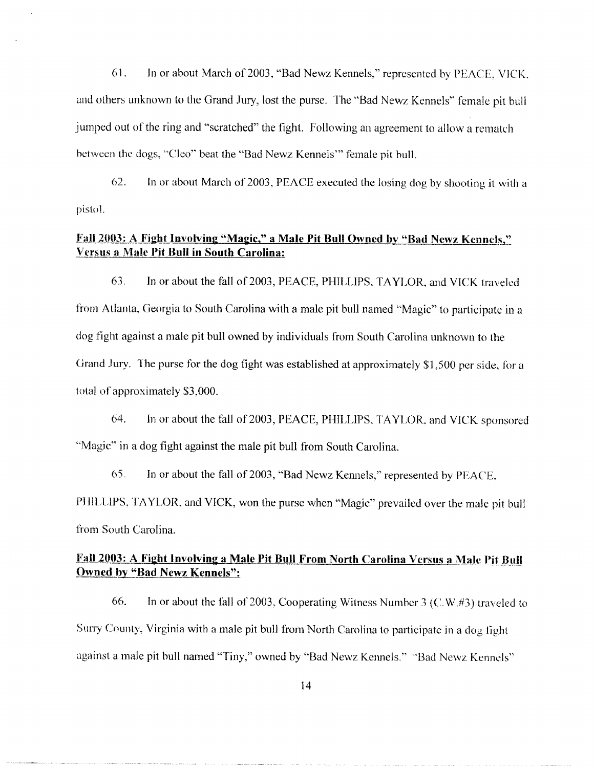61 . In or about March of 2003, "Bad Newz Kennels," represented by PEACE, VICK. and others unknown to the Grand Jury, lost the purse. The "Bad Newz Kennels" female pit bull jumped out of the ring and "scratched" the fight. Following an agreement to allow a rematch between the dogs, "Cleo" beat the "Bad Newz Kennels" female pit bull. 61. In or about March of 2003, "Bad Newz Kennels," represented by PEACE, VIC and others unknown to the Grand Jury, lost the purse. The "Bad Newz Kennels" female pit b jumped out of the ring and "scratched" the fight. Follo

62. In or about March of 2003, PEACE executed the losing dog by shooting it with a pistol.

# Fall 2003: A Fight Involving "Magic," a Male Pit Bull Owned by "Bad Newz Kennels," Versus a Male Pit Bull in South Carolina:

63 . from Atlanta, Georgia to South Carolina with a male pit bull named "Magic" to participate in a dog fight against a male pit bull owned by individuals from South Carolina unknown to the Grand Jury. The purse for the dog fight was established at approximately \$1,500 per side, for a total of approximately 3,000.

64. In or about the fall of 2003, PEACE, PHILLIPS, TAYLOR, and VICK sponsored "Magic" in a dog fight against the male pit bull from South Carolina.

65. In or about the fall of 2003, "Bad Newz Kennels," represented by PEACE. PHILLIPS, TAYLOR, and VICK, won the purse when "Magic" prevailed over the male pit bull from South Carolina.

# Fall 2003: A Fight Involving a Male Pit Bull From North Carolina Versus a Male Pit Bull Owned by "Bad Newz Kennels":

66. In or about the fall of 2003, Cooperating Witness Number 3 (C.W.#3) traveled to Surry County, Virginia with a male pit bull from North Carolina to participate in a dog fight against a male pit bull named "Tiny," owned by "Bad Newz Kennels." "Bad Newz Kennels"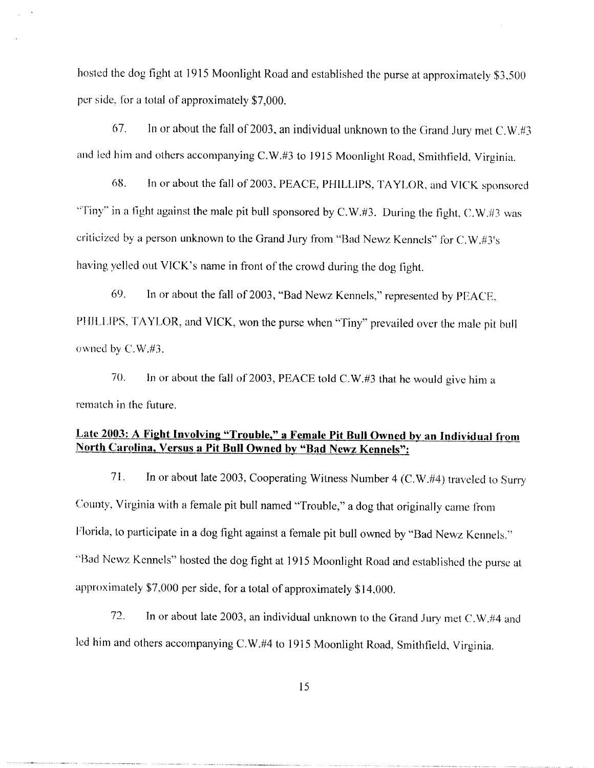hosted the dog fight at 1915 Moonlight Road and established the purse at approximately \$3,500 per side, for a total of approximately \$7,000. In or about the fall of 2003, PEACE, PHILLIPS, TAYLOR, and VICK sponsored the fall of 2003, Peace of 2003, Peace of 2003, Peace of 2003, Peace of 2003, Peace of 2003, Peace of 2003, Peace of 2003, Peace of 2003, Peace of 2

67. In or about the fall of 2003, an individual unknown to the Grand Jury met  $C.W. #3$ and led him and others accompanying C.W.#3 to 1915 Moonlight Road, Smithfield, Virginia.

68. "Tiny" in a fight against the male pit bull sponsored by C.W.#3. During the fight, C.W.#3 was criticized by a person unknown to the Grand Jury from "Bad Newz Kennels" for C.W.#3's having yelled out VICK's name in front of the crowd during the dog fight. In or about the fall of 2003, an individual unknown to the Grand Jury met and led him and others accompanying C.W.#3 to 1915 Moonlight Road, Smithfield, Virg and led him and others accompanying C.W.#3 to 1915 Moonlight Ro

69. PHILLIPS, TAYLOR, and VICK, won the purse when "Tiny" prevailed over the male pit bull owned by  $C.W. #3.$ 

70. In or about the fall of 2003, PEACE told C.W.#3 that he would give him a rematch in the future.

# Late 2003: A Fight Involving "Trouble," a Female Pit Bull Owned by an Individual from North Carolina, Versus a Pit Bull Owned by "Bad Newz Kennels":

71 . In or about late 2003, Cooperating Witness Number 4 (C.W.#4) traveled to Surry County, Virginia with a female pit bull named "Trouble," a dog that originally came from Florida, to participate in a dog fight against a female pit bull owned by "Bad Newz Kennels ." "Bad Ncwz Kennels" hosted the dog fight at 1915 Moonlight Road and established the purse at approximately \$7,000 per side, for a total of approximately \$14,000.

72. In or about late 2003, an individual unknown to the Grand Jury met C.W.#4 and led him and others accompanying C.W.#4 to 1915 Moonlight Road, Smithfield, Virginia.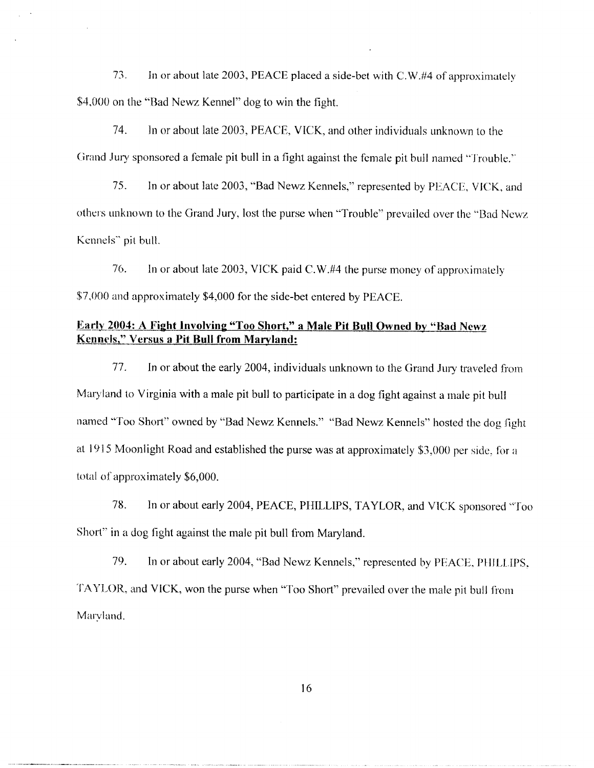73 . In or about late 2003, PEACE placed a side-bet with C.W.#4 of approximately \$4,000 on the "Bad Newz Kennel" dog to win the fight. 13. In or about late 2003, PEACE placed a side-bet with C.W.#4 of approximately<br>
14. In or about late 2003, PEACE, VICK, and other individuals unknown to the<br>
14. In or about late 2003, PEACE, VICK, and other individuals u

74. In or about late 2003, PEACE, VICK, and other individuals unknown to the Grand Jury sponsored a female pit bull in a fight against the female pit hull named "Trouble .''

75. others unknown to the Grand Jury, lost the purse when "Trouble" prevailed over the "Bad Newz Kennels" pit bull.

76. In or about late 2003, VICK paid C.W.#4 the purse money of approximately \$7,000 and approximately \$4,000 for the side-bet entered by PEACE.

### Early 2004: A Fight Involving "Too Short," a Male Pit Bull Owned by "Bad Newz Kennels," Versus a Pit Bull from Maryland:

77 . In or about the early 2004, individuals unknown to the Grand Jury traveled from Maryland to Virginia with a male pit bull to participate in a dog fight against a male pit bull named "Too Short" owned by "'Bad Newz Kennels ." "Bad Newz Kennels" hosted the dog fight at 1915 Moonlight Road and established the purse was at approximately 3,000 per side, for a total of approximately \$6,000.

78 . In or about early 2004, PEACE, PHILLIPS, TAYLOR, and VICK sponsored "Too Short" in a dog fight against the male pit bull from Maryland.

79. In or about early 2004, "Bad Newz Kennels," represented by PEACE, PHILLIPS . TAYLOR, and VICK, won the purse when "Too Short" prevailed over the male pit bull from Maryland,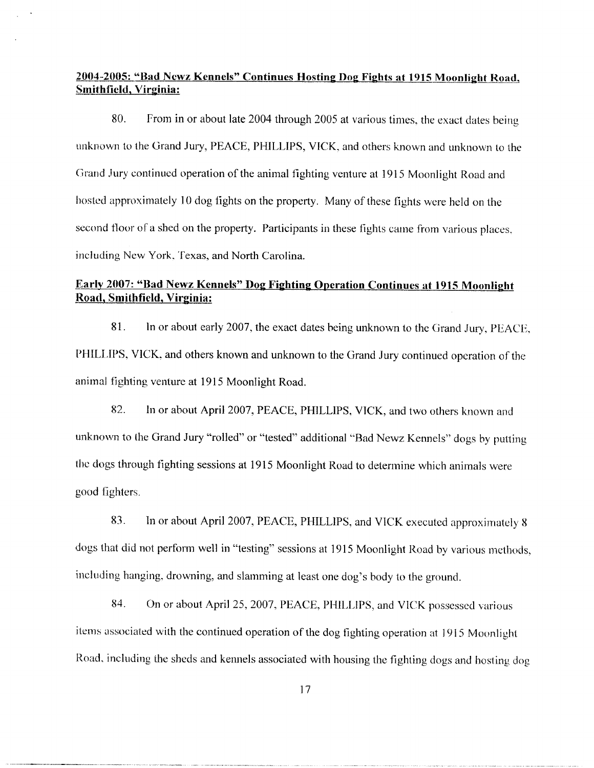# 2004-2005 : "Bad Newz Kennels" Continues Hosting Dog Fights at 1915 Moonlight Road, Smithfield, Virginia:

80. From in or about late 2004 through 2005 at various times, the exact dates being unknown to the Grand Jury, PEACE, PHILLIPS, VICK, and others known and unknown to the Grand Jury continued operation of the animal fighting venture at 1915 Moonlight Road and hosted approximately 10 dog fights on the property. Many of these fights were held on the second floor of a shed on the property. Participants in these fights came from various places, including New York, Texas, and North Carolina. **2004-2005: "Bad Newz Kennets" Continues Hosting Dog Fights at 1915 Moonlight Road Smithfield, Virginia:**<br>
80. From in or about late 2004 through 2005 at various times, the exact dates bein unknown to the Grand Jury, PEAC

### Early 2007: "Bad Newz Kennels" Dog Fighting Operation Continues at 1915 Moonlight Road, Smithfield, Virginia :

81. In or about early 2007, the exact dates being unknown to the Grand Jury, PEACE, PHILLIPS, VICK, and others known and unknown to the Grand Jury continued operation of the animal fighting venture at 1915 Moonlight Road.

82. unknown to the Grand Jury "rolled" or "tested" additional "Bad Newz Kennels" dogs by putting the dogs through fighting sessions at 1915 Moonlight Road to determine which animals were good fighters.

83. In or about April 2007, PEACE, PHILLIPS, and VICK executed approximately 8 dogs that did not perform well in "testing" sessions at 1915 Moonlight Road by various methods, including hanging, drowning, and slamming at least one dog's body to the ground.

84. On or about April 25, 2007, PEACE, PHILLIPS, and VICK possessed various items associated with the continued operation of the dog fighting operation at 1915 Moonlight Road, including the sheds and kennels associated with housing the fighting dogs and hosting dog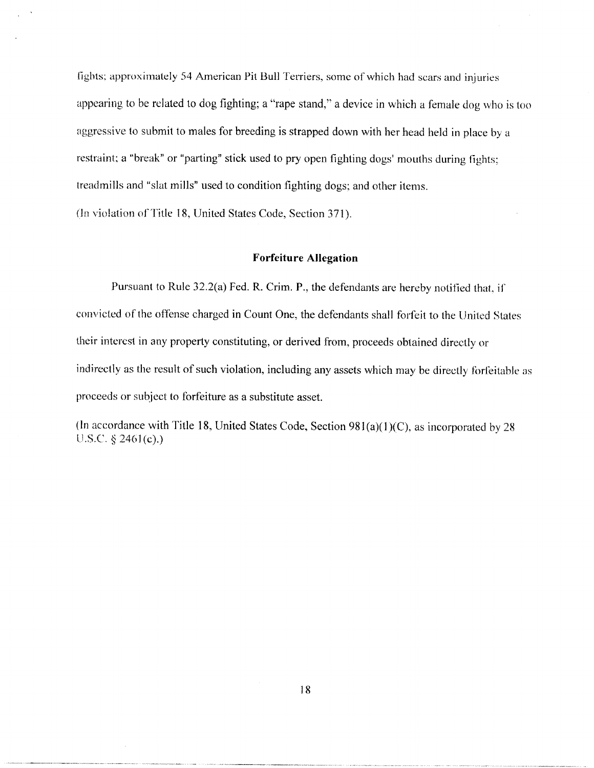fights; approximately 54 American Pit Bull Terriers, some of which had scars and injuries appearing to be related to dog fighting; a "rape stand," a device in which a female dog who is too aggressive to submit to males for breeding is strapped down with her head held in place by a restraint; a "break" or "parting" stick used to pry open fighting dogs' mouths during fights; treadmills and "slat mills" used to condition fighting dogs; and other items.

(In violation of Title 18, United States Code, Section 371).

#### Forfeiture Allegation

Pursuant to Rule  $32.2(a)$  Fed. R. Crim. P., the defendants are hereby notified that, if convicted of the offense charged in Count One, the defendants shall forfeit to the United States their interest in any property constituting, or derived from, proceeds obtained directly or indirectly as the result of such violation, including any assets which may be directly forfeitable as proceeds or subject to forfeiture as a substitute asset .

(In accordance with Title 18, United States Code, Section  $981(a)(1)(C)$ , as incorporated by 28 U.S.C.  $\S 2461(c)$ .)